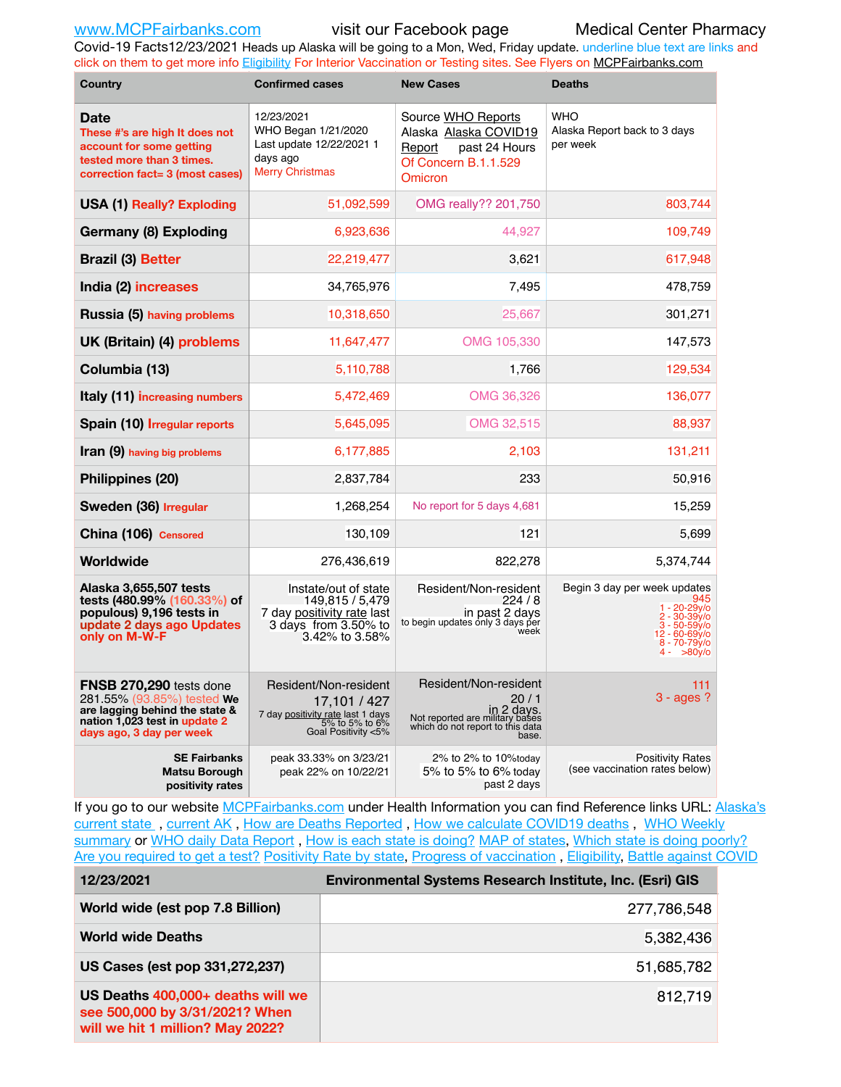Covid-19 Facts12/23/2021 Heads up Alaska will be going to a Mon, Wed, Friday update. underline blue text are links and click on them to get more info [Eligibility](http://dhss.alaska.gov/dph/Epi/id/Pages/COVID-19/VaccineAvailability.aspx) For Interior Vaccination or Testing sites. See Flyers on [MCPFairbanks.com](http://www.MCPFairbanks.com)

| <b>Country</b>                                                                                                                                       | <b>Confirmed cases</b>                                                                                              | <b>New Cases</b>                                                                                                            | <b>Deaths</b>                                                                                                                            |
|------------------------------------------------------------------------------------------------------------------------------------------------------|---------------------------------------------------------------------------------------------------------------------|-----------------------------------------------------------------------------------------------------------------------------|------------------------------------------------------------------------------------------------------------------------------------------|
| <b>Date</b><br>These #'s are high It does not<br>account for some getting<br>tested more than 3 times.<br>correction fact= 3 (most cases)            | 12/23/2021<br>WHO Began 1/21/2020<br>Last update 12/22/2021 1<br>days ago<br><b>Merry Christmas</b>                 | Source WHO Reports<br>Alaska Alaska COVID19<br>past 24 Hours<br>Report<br>Of Concern B.1.1.529<br>Omicron                   | <b>WHO</b><br>Alaska Report back to 3 days<br>per week                                                                                   |
| <b>USA (1) Really? Exploding</b>                                                                                                                     | 51,092,599                                                                                                          | OMG really?? 201,750                                                                                                        | 803,744                                                                                                                                  |
| Germany (8) Exploding                                                                                                                                | 6,923,636                                                                                                           | 44,927                                                                                                                      | 109,749                                                                                                                                  |
| <b>Brazil (3) Better</b>                                                                                                                             | 22,219,477                                                                                                          | 3,621                                                                                                                       | 617,948                                                                                                                                  |
| India (2) increases                                                                                                                                  | 34,765,976                                                                                                          | 7,495                                                                                                                       | 478,759                                                                                                                                  |
| Russia (5) having problems                                                                                                                           | 10,318,650                                                                                                          | 25,667                                                                                                                      | 301,271                                                                                                                                  |
| UK (Britain) (4) problems                                                                                                                            | 11,647,477                                                                                                          | OMG 105,330                                                                                                                 | 147,573                                                                                                                                  |
| Columbia (13)                                                                                                                                        | 5,110,788                                                                                                           | 1,766                                                                                                                       | 129,534                                                                                                                                  |
| Italy (11) increasing numbers                                                                                                                        | 5,472,469                                                                                                           | OMG 36,326                                                                                                                  | 136,077                                                                                                                                  |
| Spain (10) Irregular reports                                                                                                                         | 5,645,095                                                                                                           | OMG 32,515                                                                                                                  | 88,937                                                                                                                                   |
| Iran (9) having big problems                                                                                                                         | 6,177,885                                                                                                           | 2,103                                                                                                                       | 131,211                                                                                                                                  |
| Philippines (20)                                                                                                                                     | 2,837,784                                                                                                           | 233                                                                                                                         | 50,916                                                                                                                                   |
| Sweden (36) Irregular                                                                                                                                | 1,268,254                                                                                                           | No report for 5 days 4,681                                                                                                  | 15,259                                                                                                                                   |
| China (106) Censored                                                                                                                                 | 130,109                                                                                                             | 121                                                                                                                         | 5,699                                                                                                                                    |
| Worldwide                                                                                                                                            | 276,436,619                                                                                                         | 822,278                                                                                                                     | 5,374,744                                                                                                                                |
| Alaska 3,655,507 tests<br>tests (480.99% (160.33%) of<br>populous) 9,196 tests in<br>update 2 days ago Updates<br>only on M-W-F                      | Instate/out of state<br>149,815 / 5,479<br>7 day positivity rate last<br>3 days from 3.50% to<br>3.42% to 3.58%     | Resident/Non-resident<br>224/8<br>in past 2 days<br>to begin updates only 3 days per<br>week                                | Begin 3 day per week updates<br>945<br>$1 - 20 - 29y$ o<br>2 - 30-39y/o<br>$3 - 50 - 59v$<br>12 - 60-69y/o<br>$8 - 70 - 79y/6$<br>>80y/o |
| FNSB 270,290 tests done<br>281.55% (93.85%) tested We<br>are lagging behind the state &<br>nation 1,023 test in update 2<br>days ago, 3 day per week | Resident/Non-resident<br>17,101 / 427<br>7 day positivity rate last 1 days<br>5% to 5% to 6%<br>Goal Positivity <5% | Resident/Non-resident<br>20/1<br>in 2 days.<br>Not reported are military bases<br>which do not report to this data<br>base. | 111<br>$3 - ages$ ?                                                                                                                      |
| <b>SE Fairbanks</b><br>Matsu Borough<br>positivity rates                                                                                             | peak 33.33% on 3/23/21<br>peak 22% on 10/22/21                                                                      | 2% to 2% to 10%today<br>5% to 5% to 6% today<br>past 2 days                                                                 | <b>Positivity Rates</b><br>(see vaccination rates below)                                                                                 |

If you go to our website [MCPFairbanks.com](http://www.MCPFairbanks.com) under Health Information you can find Reference links URL: Alaska's [current state](https://coronavirus-response-alaska-dhss.hub.arcgis.com) , [current AK](http://dhss.alaska.gov/dph/Epi/id/Pages/COVID-19/communications.aspx#cases) , [How are Deaths Reported](http://dhss.alaska.gov/dph/Epi/id/Pages/COVID-19/deathcounts.aspx) , [How we calculate COVID19 deaths](https://coronavirus-response-alaska-dhss.hub.arcgis.com/search?collection=Document&groupIds=41ccb3344ebc4bd682c74073eba21f42) , [WHO Weekly](http://www.who.int)  [summary](http://www.who.int) or [WHO daily Data Report](https://covid19.who.int/table), [How is each state is doing?](https://www.msn.com/en-us/news/us/state-by-state-coronavirus-news/ar-BB13E1PX?fbclid=IwAR0_OBJH7lSyTN3ug_MsOeFnNgB1orTa9OBgilKJ7dhnwlVvHEsptuKkj1c) [MAP of states,](https://www.nationalgeographic.com/science/graphics/graphic-tracking-coronavirus-infections-us?cmpid=org=ngp::mc=crm-email::src=ngp::cmp=editorial::add=SpecialEdition_20210305&rid=B9A6DF5992658E8E35CE023113CFEA4C) [Which state is doing poorly?](https://bestlifeonline.com/covid-outbreak-your-state/?utm_source=nsltr&utm_medium=email&utm_content=covid-outbreak-your-state&utm_campaign=launch) [Are you required to get a test?](http://dhss.alaska.gov/dph/Epi/id/SiteAssets/Pages/HumanCoV/Whattodoafteryourtest.pdf) [Positivity Rate by state](https://coronavirus.jhu.edu/testing/individual-states/alaska), Progress of vaccination, [Eligibility,](http://dhss.alaska.gov/dph/Epi/id/Pages/COVID-19/VaccineAvailability.aspx) [Battle against COVID](https://www.nationalgeographic.com/science/graphics/graphic-tracking-coronavirus-infections-us?cmpid=org=ngp::mc=crm-email::src=ngp::cmp=editorial::add=SpecialEdition_20210219&rid=B9A6DF5992658E8E35CE023113CFEA4C)

| 12/23/2021                                                                                              | Environmental Systems Research Institute, Inc. (Esri) GIS |
|---------------------------------------------------------------------------------------------------------|-----------------------------------------------------------|
| World wide (est pop 7.8 Billion)                                                                        | 277,786,548                                               |
| <b>World wide Deaths</b>                                                                                | 5,382,436                                                 |
| US Cases (est pop 331,272,237)                                                                          | 51,685,782                                                |
| US Deaths 400,000+ deaths will we<br>see 500,000 by 3/31/2021? When<br>will we hit 1 million? May 2022? | 812,719                                                   |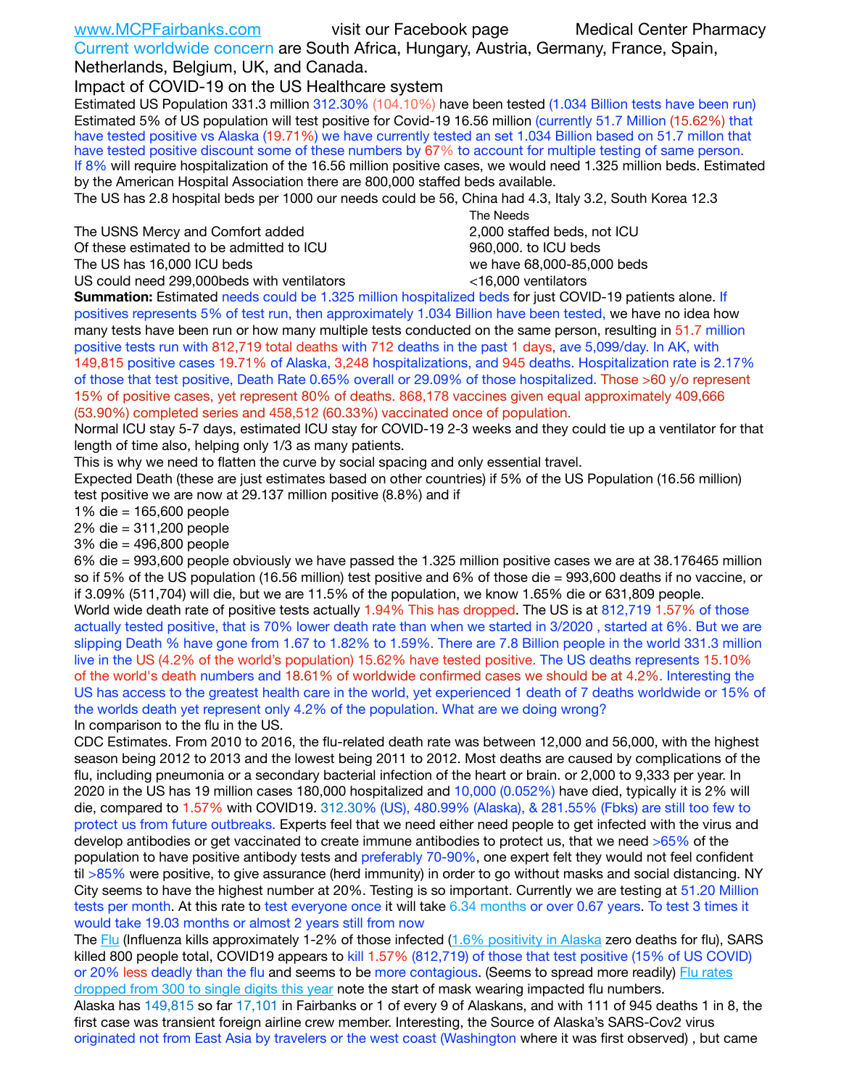| www.MCPFairbanks.com                  | visit our Facebook page                                                               | <b>Medical Center Pharmacy</b> |
|---------------------------------------|---------------------------------------------------------------------------------------|--------------------------------|
|                                       | Current worldwide concern are South Africa, Hungary, Austria, Germany, France, Spain, |                                |
| Netherlands, Belgium, UK, and Canada. |                                                                                       |                                |

Impact of COVID-19 on the US Healthcare system

Estimated US Population 331.3 million 312.30% (104.10%) have been tested (1.034 Billion tests have been run) Estimated 5% of US population will test positive for Covid-19 16.56 million (currently 51.7 Million (15.62%) that have tested positive vs Alaska (19.71%) we have currently tested an set 1.034 Billion based on 51.7 millon that have tested positive discount some of these numbers by 67% to account for multiple testing of same person. If 8% will require hospitalization of the 16.56 million positive cases, we would need 1.325 million beds. Estimated by the American Hospital Association there are 800,000 staffed beds available.

The US has 2.8 hospital beds per 1000 our needs could be 56, China had 4.3, Italy 3.2, South Korea 12.3

The USNS Mercy and Comfort added **2,000** staffed beds, not ICU Of these estimated to be admitted to ICU 960,000. to ICU beds

The US has 16,000 ICU beds we have 68,000-85,000 beds

US could need 299,000 beds with ventilators  $\sim$  16,000 ventilators

 The Needs

**Summation:** Estimated needs could be 1.325 million hospitalized beds for just COVID-19 patients alone. If positives represents 5% of test run, then approximately 1.034 Billion have been tested, we have no idea how many tests have been run or how many multiple tests conducted on the same person, resulting in 51.7 million positive tests run with 812,719 total deaths with 712 deaths in the past 1 days, ave 5,099/day. In AK, with 149,815 positive cases 19.71% of Alaska, 3,248 hospitalizations, and 945 deaths. Hospitalization rate is 2.17% of those that test positive, Death Rate 0.65% overall or 29.09% of those hospitalized. Those >60 y/o represent 15% of positive cases, yet represent 80% of deaths. 868,178 vaccines given equal approximately 409,666 (53.90%) completed series and 458,512 (60.33%) vaccinated once of population.

Normal ICU stay 5-7 days, estimated ICU stay for COVID-19 2-3 weeks and they could tie up a ventilator for that length of time also, helping only 1/3 as many patients.

This is why we need to flatten the curve by social spacing and only essential travel.

Expected Death (these are just estimates based on other countries) if 5% of the US Population (16.56 million) test positive we are now at 29.137 million positive (8.8%) and if

1% die = 165,600 people

2% die = 311,200 people

3% die = 496,800 people

6% die = 993,600 people obviously we have passed the 1.325 million positive cases we are at 38.176465 million so if 5% of the US population (16.56 million) test positive and 6% of those die = 993,600 deaths if no vaccine, or if 3.09% (511,704) will die, but we are 11.5% of the population, we know 1.65% die or 631,809 people.

World wide death rate of positive tests actually 1.94% This has dropped. The US is at 812,719 1.57% of those actually tested positive, that is 70% lower death rate than when we started in 3/2020 , started at 6%. But we are slipping Death % have gone from 1.67 to 1.82% to 1.59%. There are 7.8 Billion people in the world 331.3 million live in the US (4.2% of the world's population) 15.62% have tested positive. The US deaths represents 15.10% of the world's death numbers and 18.61% of worldwide confirmed cases we should be at 4.2%. Interesting the US has access to the greatest health care in the world, yet experienced 1 death of 7 deaths worldwide or 15% of the worlds death yet represent only 4.2% of the population. What are we doing wrong? In comparison to the flu in the US.

CDC Estimates. From 2010 to 2016, the flu-related death rate was between 12,000 and 56,000, with the highest season being 2012 to 2013 and the lowest being 2011 to 2012. Most deaths are caused by complications of the flu, including pneumonia or a secondary bacterial infection of the heart or brain. or 2,000 to 9,333 per year. In 2020 in the US has 19 million cases 180,000 hospitalized and 10,000 (0.052%) have died, typically it is 2% will die, compared to 1.57% with COVID19. 312.30% (US), 480.99% (Alaska), & 281.55% (Fbks) are still too few to protect us from future outbreaks. Experts feel that we need either need people to get infected with the virus and develop antibodies or get vaccinated to create immune antibodies to protect us, that we need >65% of the population to have positive antibody tests and preferably 70-90%, one expert felt they would not feel confident til >85% were positive, to give assurance (herd immunity) in order to go without masks and social distancing. NY City seems to have the highest number at 20%. Testing is so important. Currently we are testing at 51.20 Million tests per month. At this rate to test everyone once it will take 6.34 months or over 0.67 years. To test 3 times it would take 19.03 months or almost 2 years still from now

The [Flu](https://lnks.gd/l/eyJhbGciOiJIUzI1NiJ9.eyJidWxsZXRpbl9saW5rX2lkIjoxMDMsInVyaSI6ImJwMjpjbGljayIsImJ1bGxldGluX2lkIjoiMjAyMTAyMjYuMzYwNDA3NTEiLCJ1cmwiOiJodHRwczovL3d3dy5jZGMuZ292L2ZsdS93ZWVrbHkvb3ZlcnZpZXcuaHRtIn0.ePMA_hsZ-pTnhWSyg1gHvHWYTu2XceVOt0JejxvP1WE/s/500544915/br/98428119752-l) (Influenza kills approximately 1-2% of those infected ([1.6% positivity in Alaska](http://dhss.alaska.gov/dph/Epi/id/SiteAssets/Pages/influenza/trends/Snapshot.pdf) zero deaths for flu), SARS killed 800 people total, COVID19 appears to kill 1.57% (812,719) of those that test positive (15% of US COVID) or 20% less deadly than the flu and seems to be more contagious. (Seems to spread more readily) Flu rates [dropped from 300 to single digits this year](https://lnks.gd/l/eyJhbGciOiJIUzI1NiJ9.eyJidWxsZXRpbl9saW5rX2lkIjoxMDEsInVyaSI6ImJwMjpjbGljayIsImJ1bGxldGluX2lkIjoiMjAyMTAyMjYuMzYwNDA3NTEiLCJ1cmwiOiJodHRwOi8vZGhzcy5hbGFza2EuZ292L2RwaC9FcGkvaWQvUGFnZXMvaW5mbHVlbnphL2ZsdWluZm8uYXNweCJ9.oOe3nt2fww6XpsNhb4FZfmtPfPa-irGaldpkURBJhSo/s/500544915/br/98428119752-l) note the start of mask wearing impacted flu numbers.

Alaska has 149,815 so far 17,101 in Fairbanks or 1 of every 9 of Alaskans, and with 111 of 945 deaths 1 in 8, the first case was transient foreign airline crew member. Interesting, the Source of Alaska's SARS-Cov2 virus originated not from East Asia by travelers or the west coast (Washington where it was first observed) , but came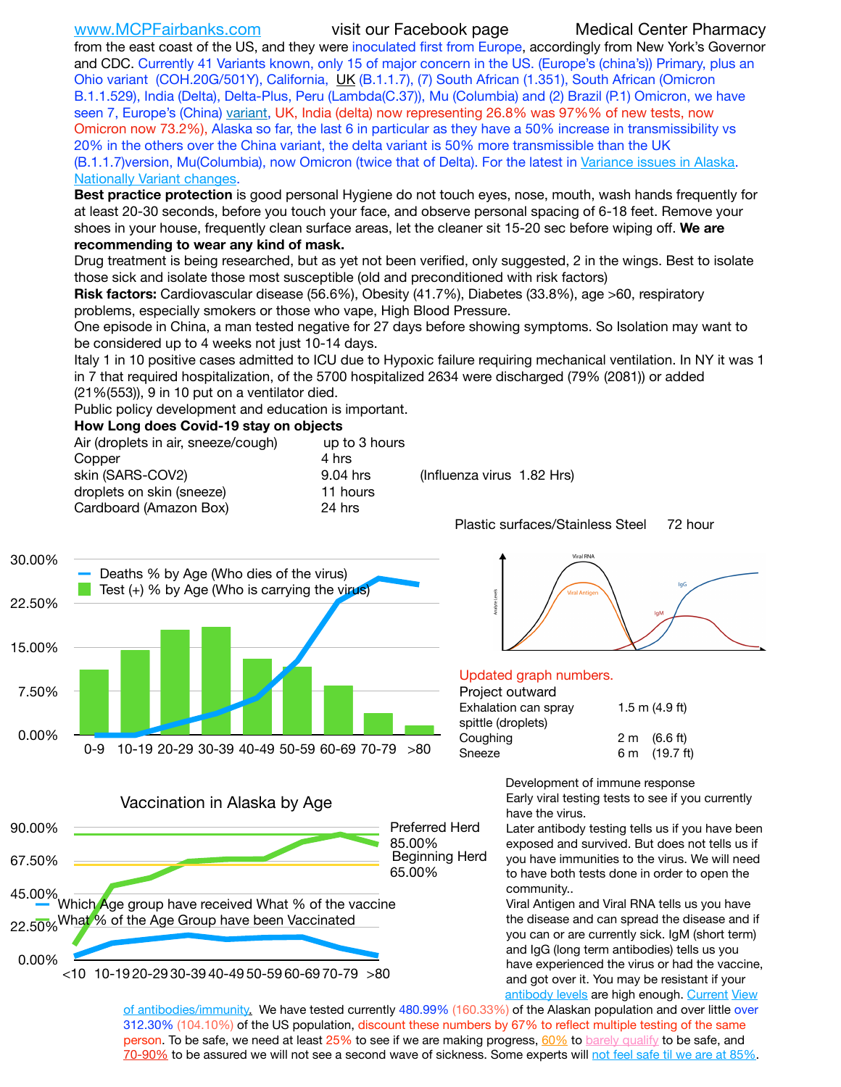[www.MCPFairbanks.com](http://www.MCPFairbanks.com) visit our Facebook page Medical Center Pharmacy

from the east coast of the US, and they were inoculated first from Europe, accordingly from New York's Governor and CDC. Currently 41 Variants known, only 15 of major concern in the US. (Europe's (china's)) Primary, plus an Ohio variant (COH.20G/501Y), California, [UK](https://www.cdc.gov/coronavirus/2019-ncov/transmission/variant-cases.html) (B.1.1.7), (7) South African (1.351), South African (Omicron B.1.1.529), India (Delta), Delta-Plus, Peru (Lambda(C.37)), Mu (Columbia) and (2) Brazil (P.1) Omicron, we have seen 7, Europe's (China) [variant,](https://www.webmd.com/lung/news/20210318/cdc-who-create-threat-levels-for-covid-variants?ecd=wnl_cvd_031921&ctr=wnl-cvd-031921&mb=kYbf7DsHb7YGjh/1RUkcAW0T6iorImAU1TDZh18RYs0=_Support_titleLink_2) UK, India (delta) now representing 26.8% was 97%% of new tests, now Omicron now 73.2%), Alaska so far, the last 6 in particular as they have a 50% increase in transmissibility vs 20% in the others over the China variant, the delta variant is 50% more transmissible than the UK (B.1.1.7)version, Mu(Columbia), now Omicron (twice that of Delta). For the latest in [Variance issues in Alaska](https://akvariants.github.io). [Nationally Variant changes](https://covid.cdc.gov/covid-data-tracker/#variant-proportions).

**Best practice protection** is good personal Hygiene do not touch eyes, nose, mouth, wash hands frequently for at least 20-30 seconds, before you touch your face, and observe personal spacing of 6-18 feet. Remove your shoes in your house, frequently clean surface areas, let the cleaner sit 15-20 sec before wiping off. **We are recommending to wear any kind of mask.**

Drug treatment is being researched, but as yet not been verified, only suggested, 2 in the wings. Best to isolate those sick and isolate those most susceptible (old and preconditioned with risk factors)

**Risk factors:** Cardiovascular disease (56.6%), Obesity (41.7%), Diabetes (33.8%), age >60, respiratory problems, especially smokers or those who vape, High Blood Pressure.

One episode in China, a man tested negative for 27 days before showing symptoms. So Isolation may want to be considered up to 4 weeks not just 10-14 days.

Italy 1 in 10 positive cases admitted to ICU due to Hypoxic failure requiring mechanical ventilation. In NY it was 1 in 7 that required hospitalization, of the 5700 hospitalized 2634 were discharged (79% (2081)) or added (21%(553)), 9 in 10 put on a ventilator died.

Public policy development and education is important.

### **How Long does Covid-19 stay on objects**

| Air (droplets in air, sneeze/cough) | up to 3 hours |                                  |         |
|-------------------------------------|---------------|----------------------------------|---------|
| Copper                              | 4 hrs         |                                  |         |
| skin (SARS-COV2)                    | 9.04 hrs      | (Influenza virus 1.82 Hrs)       |         |
| droplets on skin (sneeze)           | 11 hours      |                                  |         |
| Cardboard (Amazon Box)              | 24 hrs        |                                  |         |
|                                     |               | Plastic surfaces/Stainless Steel | 72 hour |







# Viral RNA



### Updated graph numbers.

### Project outward

| .                    |                        |  |  |  |  |  |
|----------------------|------------------------|--|--|--|--|--|
| Exhalation can spray | 1.5 m $(4.9$ ft)       |  |  |  |  |  |
| spittle (droplets)   |                        |  |  |  |  |  |
| Coughing             | $2 \text{ m}$ (6.6 ft) |  |  |  |  |  |
| Sneeze               | 6 m (19.7 ft)          |  |  |  |  |  |
|                      |                        |  |  |  |  |  |

Development of immune response

Early viral testing tests to see if you currently have the virus.

Later antibody testing tells us if you have been exposed and survived. But does not tells us if you have immunities to the virus. We will need to have both tests done in order to open the community..

Viral Antigen and Viral RNA tells us you have the disease and can spread the disease and if you can or are currently sick. IgM (short term) and IgG (long term antibodies) tells us you have experienced the virus or had the vaccine, and got over it. You may be resistant if your [antibody levels](https://www.cdc.gov/coronavirus/2019-ncov/lab/resources/antibody-tests.html) are high enough. [Current](https://l.facebook.com/l.php?u=https://www.itv.com/news/2020-10-26/covid-19-antibody-levels-reduce-over-time-study-finds?fbclid=IwAR3Dapzh1qIH1EIOdUQI2y8THf7jfA4KBCaJz8Qg-8xe1YsrR4nsAHDIXSY&h=AT30nut8pkqp0heVuz5W2rT2WFFm-2Ab52BsJxZZCNlGsX58IpPkuVEPULbIUV_M16MAukx1Kwb657DPXxsgDN1rpOQ4gqBtQsmVYiWpnHPJo2RQsU6CPMd14lgLnQnFWxfVi6zvmw&__tn__=-UK-R&c%5B0%5D=AT1GaRAfR_nGAyqcn7TI1-PpvqOqEKXHnz6TDWvRStMnOSH7boQDvTiwTOc6VId9UES6LKiOmm2m88wKCoolkJyOFvakt2Z1Mw8toYWGGoWW23r0MNVBl7cYJXB_UOvGklNHaNnaNr1_S7NhT3BSykNOBg) View

[of antibodies/immunity](https://www.livescience.com/antibodies.html)[.](https://www.itv.com/news/2020-10-26/covid-19-antibody-levels-reduce-over-time-study-finds) We have tested currently 480.99% (160.33%) of the Alaskan population and over little over 312.30% (104.10%) of the US population, discount these numbers by 67% to reflect multiple testing of the same person. To be safe, we need at least 25% to see if we are making progress, [60%](https://www.jhsph.edu/covid-19/articles/achieving-herd-immunity-with-covid19.html) to [barely qualify](https://www.nature.com/articles/d41586-020-02948-4) to be safe, and [70-90%](https://www.mayoclinic.org/herd-immunity-and-coronavirus/art-20486808) to be assured we will not see a second wave of sickness. Some experts will [not feel safe til we are at 85%.](https://www.bannerhealth.com/healthcareblog/teach-me/what-is-herd-immunity)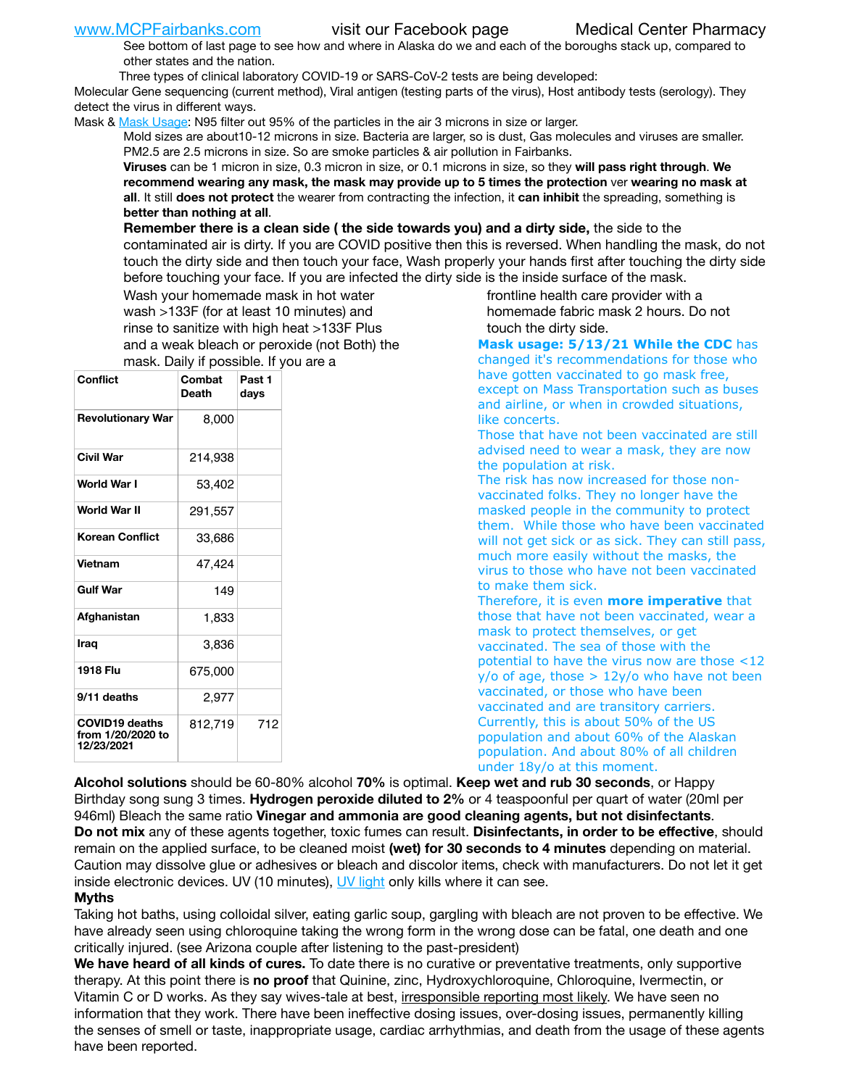See bottom of last page to see how and where in Alaska do we and each of the boroughs stack up, compared to other states and the nation.

Three types of clinical laboratory COVID-19 or SARS-CoV-2 tests are being developed:

Molecular Gene sequencing (current method), Viral antigen (testing parts of the virus), Host antibody tests (serology). They detect the virus in different ways.

Mask & [Mask Usage:](https://www.nationalgeographic.com/history/2020/03/how-cities-flattened-curve-1918-spanish-flu-pandemic-coronavirus/) N95 filter out 95% of the particles in the air 3 microns in size or larger.

Mold sizes are about10-12 microns in size. Bacteria are larger, so is dust, Gas molecules and viruses are smaller. PM2.5 are 2.5 microns in size. So are smoke particles & air pollution in Fairbanks.

**Viruses** can be 1 micron in size, 0.3 micron in size, or 0.1 microns in size, so they **will pass right through**. **We recommend wearing any mask, the mask may provide up to 5 times the protection** ver **wearing no mask at all**. It still **does not protect** the wearer from contracting the infection, it **can inhibit** the spreading, something is **better than nothing at all**.

**Remember there is a clean side ( the side towards you) and a dirty side,** the side to the contaminated air is dirty. If you are COVID positive then this is reversed. When handling the mask, do not touch the dirty side and then touch your face, Wash properly your hands first after touching the dirty side before touching your face. If you are infected the dirty side is the inside surface of the mask.

Wash your homemade mask in hot water wash >133F (for at least 10 minutes) and rinse to sanitize with high heat >133F Plus and a weak bleach or peroxide (not Both) the mask. Daily if possible. If you are a

| Conflict                                                 | Combat<br>Death | Past 1<br>days |
|----------------------------------------------------------|-----------------|----------------|
| <b>Revolutionary War</b>                                 | 8,000           |                |
| <b>Civil War</b>                                         | 214,938         |                |
| World War I                                              | 53,402          |                |
| <b>World War II</b>                                      | 291,557         |                |
| Korean Conflict                                          | 33,686          |                |
| <b>Vietnam</b>                                           | 47,424          |                |
| <b>Gulf War</b>                                          | 149             |                |
| Afghanistan                                              | 1,833           |                |
| Iraq                                                     | 3,836           |                |
| 1918 Flu                                                 | 675,000         |                |
| 9/11 deaths                                              | 2,977           |                |
| <b>COVID19 deaths</b><br>from 1/20/2020 to<br>12/23/2021 | 812,719         | 712            |

frontline health care provider with a homemade fabric mask 2 hours. Do not touch the dirty side.

**Mask usage: 5/13/21 While the CDC** has changed it's recommendations for those who have gotten vaccinated to go mask free, except on Mass Transportation such as buses and airline, or when in crowded situations, like concerts.

Those that have not been vaccinated are still advised need to wear a mask, they are now the population at risk.

The risk has now increased for those nonvaccinated folks. They no longer have the masked people in the community to protect them. While those who have been vaccinated will not get sick or as sick. They can still pass, much more easily without the masks, the virus to those who have not been vaccinated to make them sick.

Therefore, it is even **more imperative** that those that have not been vaccinated, wear a mask to protect themselves, or get vaccinated. The sea of those with the potential to have the virus now are those <12  $y$ /o of age, those  $> 12y$ /o who have not been vaccinated, or those who have been vaccinated and are transitory carriers. Currently, this is about 50% of the US population and about 60% of the Alaskan population. And about 80% of all children under 18y/o at this moment.

**Alcohol solutions** should be 60-80% alcohol **70%** is optimal. **Keep wet and rub 30 seconds**, or Happy Birthday song sung 3 times. **Hydrogen peroxide diluted to 2%** or 4 teaspoonful per quart of water (20ml per 946ml) Bleach the same ratio **Vinegar and ammonia are good cleaning agents, but not disinfectants**. **Do not mix** any of these agents together, toxic fumes can result. **Disinfectants, in order to be effective**, should remain on the applied surface, to be cleaned moist **(wet) for 30 seconds to 4 minutes** depending on material. Caution may dissolve glue or adhesives or bleach and discolor items, check with manufacturers. Do not let it get inside electronic devices. UV (10 minutes), [UV light](http://www.docreviews.me/best-uv-boxes-2020/?fbclid=IwAR3bvFtXB48OoBBSvYvTEnKuHNPbipxM6jUo82QUSw9wckxjC7wwRZWabGw) only kills where it can see.

### **Myths**

Taking hot baths, using colloidal silver, eating garlic soup, gargling with bleach are not proven to be effective. We have already seen using chloroquine taking the wrong form in the wrong dose can be fatal, one death and one critically injured. (see Arizona couple after listening to the past-president)

**We have heard of all kinds of cures.** To date there is no curative or preventative treatments, only supportive therapy. At this point there is **no proof** that Quinine, zinc, Hydroxychloroquine, Chloroquine, Ivermectin, or Vitamin C or D works. As they say wives-tale at best, *irresponsible reporting most likely*. We have seen no information that they work. There have been ineffective dosing issues, over-dosing issues, permanently killing the senses of smell or taste, inappropriate usage, cardiac arrhythmias, and death from the usage of these agents have been reported.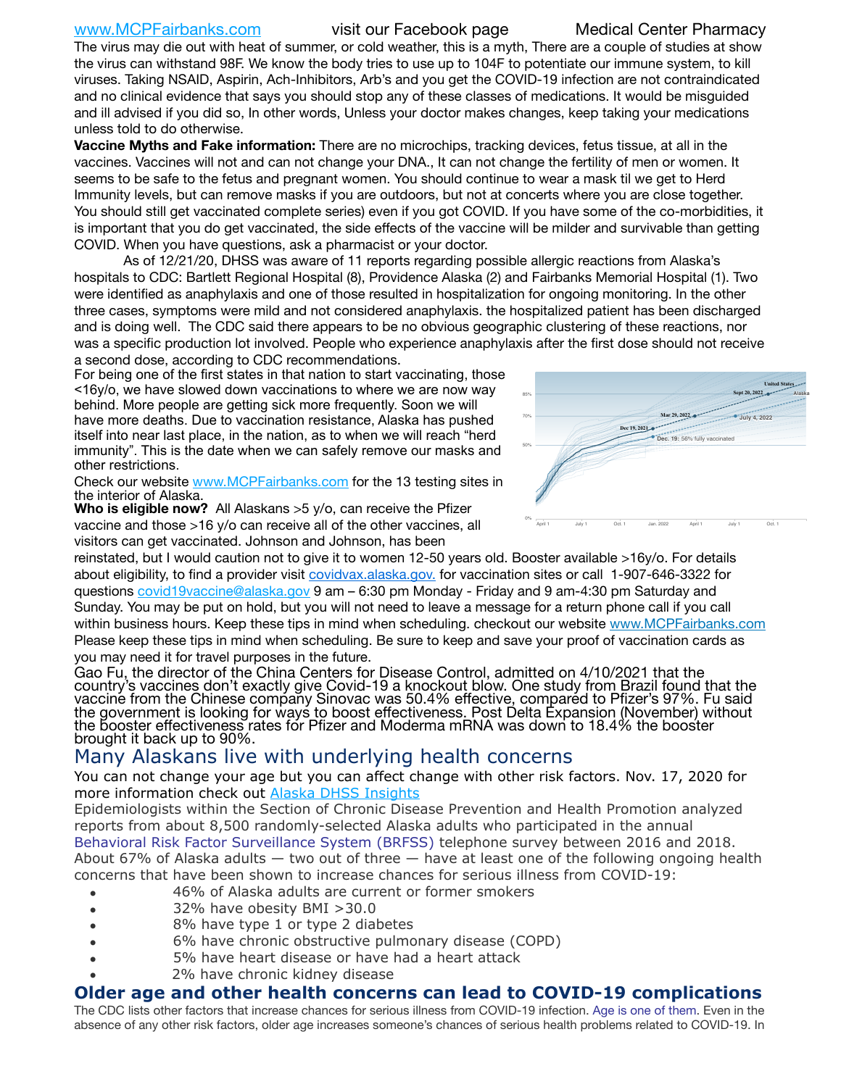[www.MCPFairbanks.com](http://www.MCPFairbanks.com) visit our Facebook page Medical Center Pharmacy

The virus may die out with heat of summer, or cold weather, this is a myth, There are a couple of studies at show the virus can withstand 98F. We know the body tries to use up to 104F to potentiate our immune system, to kill viruses. Taking NSAID, Aspirin, Ach-Inhibitors, Arb's and you get the COVID-19 infection are not contraindicated and no clinical evidence that says you should stop any of these classes of medications. It would be misguided and ill advised if you did so, In other words, Unless your doctor makes changes, keep taking your medications unless told to do otherwise.

**Vaccine Myths and Fake information:** There are no microchips, tracking devices, fetus tissue, at all in the vaccines. Vaccines will not and can not change your DNA., It can not change the fertility of men or women. It seems to be safe to the fetus and pregnant women. You should continue to wear a mask til we get to Herd Immunity levels, but can remove masks if you are outdoors, but not at concerts where you are close together. You should still get vaccinated complete series) even if you got COVID. If you have some of the co-morbidities, it is important that you do get vaccinated, the side effects of the vaccine will be milder and survivable than getting COVID. When you have questions, ask a pharmacist or your doctor.

As of 12/21/20, DHSS was aware of 11 reports regarding possible allergic reactions from Alaska's hospitals to CDC: Bartlett Regional Hospital (8), Providence Alaska (2) and Fairbanks Memorial Hospital (1). Two were identified as anaphylaxis and one of those resulted in hospitalization for ongoing monitoring. In the other three cases, symptoms were mild and not considered anaphylaxis. the hospitalized patient has been discharged and is doing well. The CDC said there appears to be no obvious geographic clustering of these reactions, nor was a specific production lot involved. People who experience anaphylaxis after the first dose should not receive a second dose, according to CDC recommendations.

For being one of the first states in that nation to start vaccinating, those <16y/o, we have slowed down vaccinations to where we are now way behind. More people are getting sick more frequently. Soon we will have more deaths. Due to vaccination resistance, Alaska has pushed itself into near last place, in the nation, as to when we will reach "herd immunity". This is the date when we can safely remove our masks and other restrictions.

Check our website [www.MCPFairbanks.com](http://www.MCPFairbanks.com) for the 13 testing sites in the interior of Alaska.





reinstated, but I would caution not to give it to women 12-50 years old. Booster available >16y/o. For details about eligibility, to find a provider visit [covidvax.alaska.gov.](https://lnks.gd/l/eyJhbGciOiJIUzI1NiJ9.eyJidWxsZXRpbl9saW5rX2lkIjoxMDYsInVyaSI6ImJwMjpjbGljayIsImJ1bGxldGluX2lkIjoiMjAyMTAxMjguMzQwODU3NjEiLCJ1cmwiOiJodHRwOi8vZGhzcy5hbGFza2EuZ292L2RwaC9FcGkvaWQvUGFnZXMvQ09WSUQtMTkvdmFjY2luZS5hc3B4In0.-Xwhl42jAWOMS7ewfS85uxwrwjohCso3Sb81DuDKtxU/s/500544915/br/93796640171-l) for vaccination sites or call 1-907-646-3322 for questions [covid19vaccine@alaska.gov](mailto:covid19vaccine@alaska.gov?subject=COVID19%20Vaccine%20questions) 9 am – 6:30 pm Monday - Friday and 9 am-4:30 pm Saturday and Sunday. You may be put on hold, but you will not need to leave a message for a return phone call if you call within business hours. Keep these tips in mind when scheduling. checkout our website [www.MCPFairbanks.com](http://www.MCPFairbanks.com) Please keep these tips in mind when scheduling. Be sure to keep and save your proof of vaccination cards as you may need it for travel purposes in the future.

Gao Fu, the director of the China Centers for Disease Control, admitted on 4/10/2021 that the country's vaccines don't exactly give Covid-19 a knockout blow. One study from Brazil found that the vaccine from the Chinese company Sinovac was 50.4% effective, compared to Pfizer's 97%. Fu said the government is looking for ways to boost effectiveness. Post Delta Expansion (November) without<br>the booster effectiveness rates for Pfizer and Moderma mRNA was down to 18.4% the booster the booster effectiveness rates for Pfizer and Moderma mRNA was down to 18.4% the booster<br>brought it back up to 90%.

# Many Alaskans live with underlying health concerns

You can not change your age but you can affect change with other risk factors. Nov. 17, 2020 for more information check out [Alaska DHSS Insights](http://dhss.alaska.gov/dph/Epi/id/Pages/COVID-19/blog/20201117.aspx)

Epidemiologists within the Section of Chronic Disease Prevention and Health Promotion analyzed reports from about 8,500 randomly-selected Alaska adults who participated in the annual [Behavioral Risk Factor Surveillance System \(BRFSS\)](http://dhss.alaska.gov/dph/Chronic/Pages/brfss/default.aspx) telephone survey between 2016 and 2018. About 67% of Alaska adults — two out of three — have at least one of the following ongoing health concerns that have been shown to increase chances for serious illness from COVID-19:

- 46% of Alaska adults are current or former smokers
- 32% have obesity BMI >30.0
- 8% have type 1 or type 2 diabetes
- 6% have chronic obstructive pulmonary disease (COPD)
- 5% have heart disease or have had a heart attack
- 2% have chronic kidney disease

## **Older age and other health concerns can lead to COVID-19 complications**

The CDC lists other factors that increase chances for serious illness from COVID-19 infection. [Age is one of them](https://www.cdc.gov/coronavirus/2019-ncov/need-extra-precautions/older-adults.html). Even in the absence of any other risk factors, older age increases someone's chances of serious health problems related to COVID-19. In